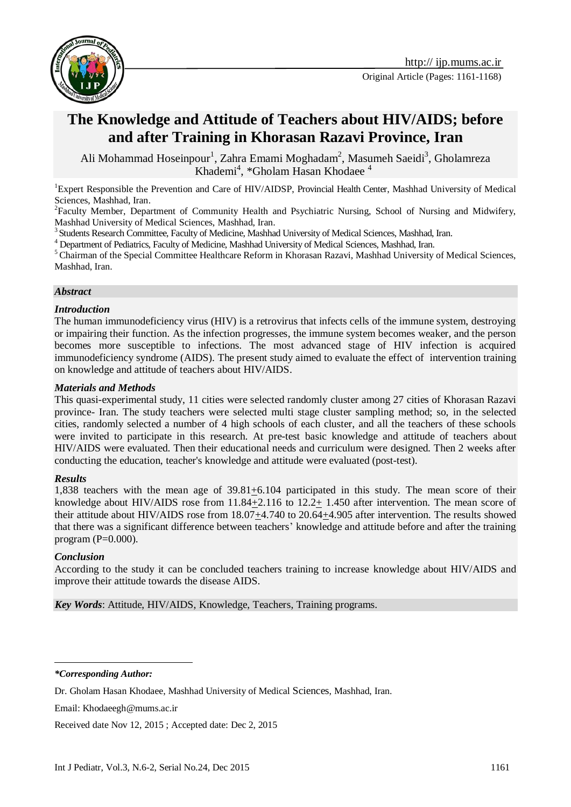

# **The Knowledge and Attitude of Teachers about HIV/AIDS; before and after Training in Khorasan Razavi Province, Iran**

Ali Mohammad Hoseinpour<sup>1</sup>, Zahra Emami Moghadam<sup>2</sup>, Masumeh Saeidi<sup>3</sup>, Gholamreza Khademi<sup>4</sup>, \*Gholam Hasan Khodaee<sup>4</sup>

<sup>1</sup>Expert Responsible the Prevention and Care of HIV/AIDSP, Provincial Health Center, Mashhad University of Medical Sciences, Mashhad, Iran.

<sup>2</sup>Faculty Member, Department of Community Health and Psychiatric Nursing, School of Nursing and Midwifery, Mashhad University of Medical Sciences, Mashhad, Iran.

<sup>3</sup> Students Research Committee, Faculty of Medicine, Mashhad University of Medical Sciences, Mashhad, Iran.

<sup>4</sup> Department of Pediatrics, Faculty of Medicine, Mashhad University of Medical Sciences, Mashhad, Iran.

<sup>5</sup> Chairman of the Special Committee Healthcare Reform in Khorasan Razavi, Mashhad University of Medical Sciences, Mashhad, Iran.

#### *Abstract*

#### *Introduction*

The human immunodeficiency virus (HIV) is a retrovirus that infects cells of the immune system, destroying or impairing their function. As the infection progresses, the immune system becomes weaker, and the person becomes more susceptible to infections. The most advanced stage of HIV infection is acquired immunodeficiency syndrome (AIDS). The present study aimed to evaluate the effect of intervention training on knowledge and attitude of teachers about HIV/AIDS.

#### *Materials and Methods*

This quasi-experimental study, 11 cities were selected randomly cluster among 27 cities of Khorasan Razavi province- Iran. The study teachers were selected multi stage cluster sampling method; so, in the selected cities, randomly selected a number of 4 high schools of each cluster, and all the teachers of these schools were invited to participate in this research. At pre-test basic knowledge and attitude of teachers about HIV/AIDS were evaluated. Then their educational needs and curriculum were designed. Then 2 weeks after conducting the education, teacher's knowledge and attitude were evaluated (post-test).

#### *Results*

1,838 teachers with the mean age of 39.81+6.104 participated in this study. The mean score of their knowledge about HIV/AIDS rose from 11.84+2.116 to 12.2+ 1.450 after intervention. The mean score of their attitude about HIV/AIDS rose from 18.07+4.740 to 20.64+4.905 after intervention. The results showed that there was a significant difference between teachers' knowledge and attitude before and after the training program  $(P=0.000)$ .

#### *Conclusion*

 $\overline{a}$ 

According to the study it can be concluded teachers training to increase knowledge about HIV/AIDS and improve their attitude towards the disease AIDS.

*Key Words*: Attitude, HIV/AIDS, Knowledge, Teachers, Training programs.

*\*Corresponding Author:*

Received date Nov 12, 2015 ; Accepted date: Dec 2, 2015

Dr. Gholam Hasan Khodaee, Mashhad University of Medical Sciences, Mashhad, Iran.

Email: Khodaeegh@mums.ac.ir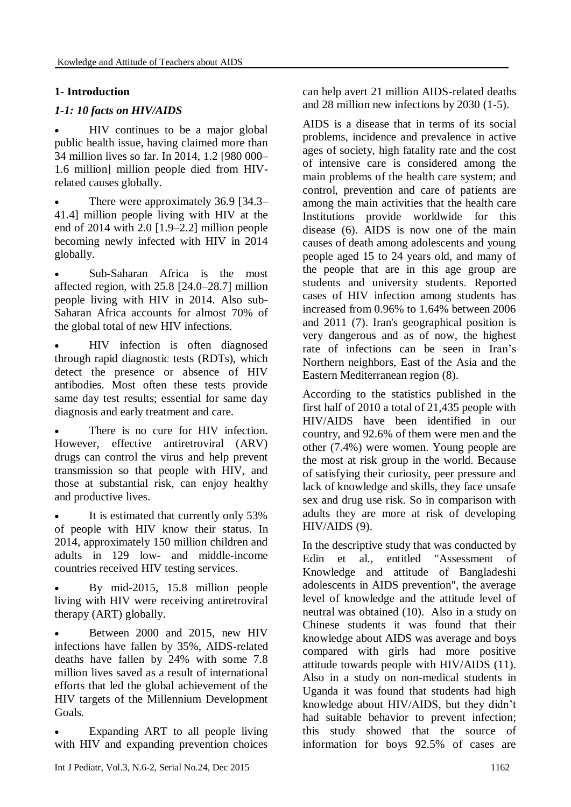# **1- Introduction**

# *1-1: 10 facts on HIV/AIDS*

 HIV continues to be a major global public health issue, having claimed more than 34 million lives so far. In 2014, 1.2 [980 000– 1.6 million] million people died from HIVrelated causes globally.

 There were approximately 36.9 [34.3– 41.4] million people living with HIV at the end of 2014 with 2.0 [1.9–2.2] million people becoming newly infected with HIV in 2014 globally.

 Sub-Saharan Africa is the most affected region, with 25.8 [24.0–28.7] million people living with HIV in 2014. Also sub-Saharan Africa accounts for almost 70% of the global total of new HIV infections.

 HIV infection is often diagnosed through rapid diagnostic tests (RDTs), which detect the presence or absence of HIV antibodies. Most often these tests provide same day test results; essential for same day diagnosis and early treatment and care.

 There is no cure for HIV infection. However, effective antiretroviral (ARV) drugs can control the virus and help prevent transmission so that people with HIV, and those at substantial risk, can enjoy healthy and productive lives.

 It is estimated that currently only 53% of people with HIV know their status. In 2014, approximately 150 million children and adults in 129 low- and middle-income countries received HIV testing services.

 By mid-2015, 15.8 million people living with HIV were receiving antiretroviral therapy (ART) globally.

 Between 2000 and 2015, new HIV infections have fallen by 35%, AIDS-related deaths have fallen by 24% with some 7.8 million lives saved as a result of international efforts that led the global achievement of the HIV targets of the Millennium Development Goals.

 Expanding ART to all people living with HIV and expanding prevention choices

can help avert 21 million AIDS-related deaths and 28 million new infections by 2030 (1-5).

AIDS is a disease that in terms of its social problems, incidence and prevalence in active ages of society, high fatality rate and the cost of intensive care is considered among the main problems of the health care system; and control, prevention and care of patients are among the main activities that the health care Institutions provide worldwide for this disease (6). AIDS is now one of the main causes of death among adolescents and young people aged 15 to 24 years old, and many of the people that are in this age group are students and university students. Reported cases of HIV infection among students has increased from 0.96% to 1.64% between 2006 and 2011 (7). Iran's geographical position is very dangerous and as of now, the highest rate of infections can be seen in Iran's Northern neighbors, East of the Asia and the Eastern Mediterranean region (8).

According to the statistics published in the first half of 2010 a total of 21,435 people with HIV/AIDS have been identified in our country, and 92.6% of them were men and the other (7.4%) were women. Young people are the most at risk group in the world. Because of satisfying their curiosity, peer pressure and lack of knowledge and skills, they face unsafe sex and drug use risk. So in comparison with adults they are more at risk of developing HIV/AIDS (9).

In the descriptive study that was conducted by Edin et al., entitled "Assessment of Knowledge and attitude of Bangladeshi adolescents in AIDS prevention", the average level of knowledge and the attitude level of neutral was obtained (10). Also in a study on Chinese students it was found that their knowledge about AIDS was average and boys compared with girls had more positive attitude towards people with HIV/AIDS (11). Also in a study on non-medical students in Uganda it was found that students had high knowledge about HIV/AIDS, but they didn't had suitable behavior to prevent infection; this study showed that the source of information for boys 92.5% of cases are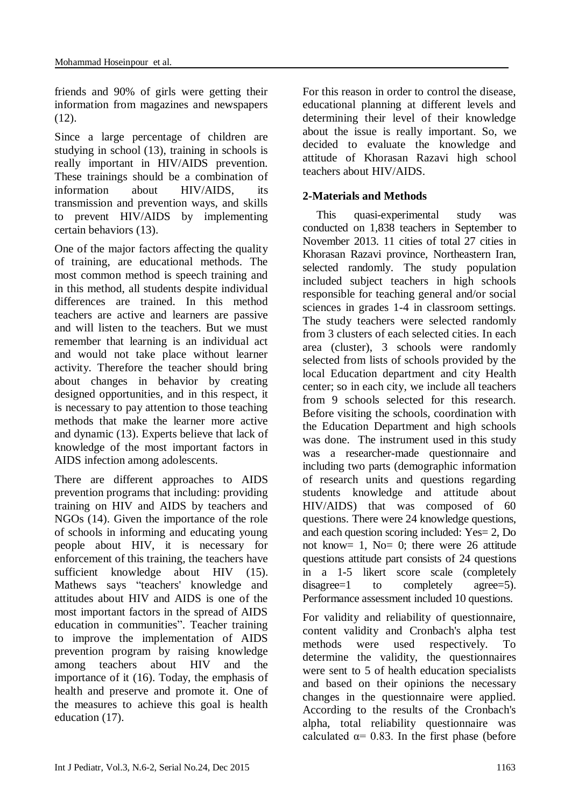friends and 90% of girls were getting their information from magazines and newspapers  $(12)$ .

Since a large percentage of children are studying in school (13), training in schools is really important in HIV/AIDS prevention. These trainings should be a combination of information about HIV/AIDS, its transmission and prevention ways, and skills to prevent HIV/AIDS by implementing certain behaviors (13).

One of the major factors affecting the quality of training, are educational methods. The most common method is speech training and in this method, all students despite individual differences are trained. In this method teachers are active and learners are passive and will listen to the teachers. But we must remember that learning is an individual act and would not take place without learner activity. Therefore the teacher should bring about changes in behavior by creating designed opportunities, and in this respect, it is necessary to pay attention to those teaching methods that make the learner more active and dynamic (13). Experts believe that lack of knowledge of the most important factors in AIDS infection among adolescents.

There are different approaches to AIDS prevention programs that including: providing training on HIV and AIDS by teachers and NGOs (14). Given the importance of the role of schools in informing and educating young people about HIV, it is necessary for enforcement of this training, the teachers have sufficient knowledge about HIV (15). Mathews says "teachers' knowledge and attitudes about HIV and AIDS is one of the most important factors in the spread of AIDS education in communities". Teacher training to improve the implementation of AIDS prevention program by raising knowledge among teachers about HIV and the importance of it (16). Today, the emphasis of health and preserve and promote it. One of the measures to achieve this goal is health education (17).

For this reason in order to control the disease, educational planning at different levels and determining their level of their knowledge about the issue is really important. So, we decided to evaluate the knowledge and attitude of Khorasan Razavi high school teachers about HIV/AIDS.

## **2-Materials and Methods**

This quasi-experimental study was conducted on 1,838 teachers in September to November 2013. 11 cities of total 27 cities in Khorasan Razavi province, Northeastern Iran, selected randomly. The study population included subject teachers in high schools responsible for teaching general and/or social sciences in grades 1-4 in classroom settings. The study teachers were selected randomly from 3 clusters of each selected cities. In each area (cluster), 3 schools were randomly selected from lists of schools provided by the local Education department and city Health center; so in each city, we include all teachers from 9 schools selected for this research. Before visiting the schools, coordination with the Education Department and high schools was done. The instrument used in this study was a researcher-made questionnaire and including two parts (demographic information of research units and questions regarding students knowledge and attitude about HIV/AIDS) that was composed of 60 questions. There were 24 knowledge questions, and each question scoring included: Yes= 2, Do not know= 1, No= 0; there were 26 attitude questions attitude part consists of 24 questions in a 1-5 likert score scale (completely disagree=1 to completely agree=5). Performance assessment included 10 questions.

For validity and reliability of questionnaire, content validity and Cronbach's alpha test methods were used respectively. To determine the validity, the questionnaires were sent to 5 of health education specialists and based on their opinions the necessary changes in the questionnaire were applied. According to the results of the Cronbach's alpha, total reliability questionnaire was calculated  $\alpha$ = 0.83. In the first phase (before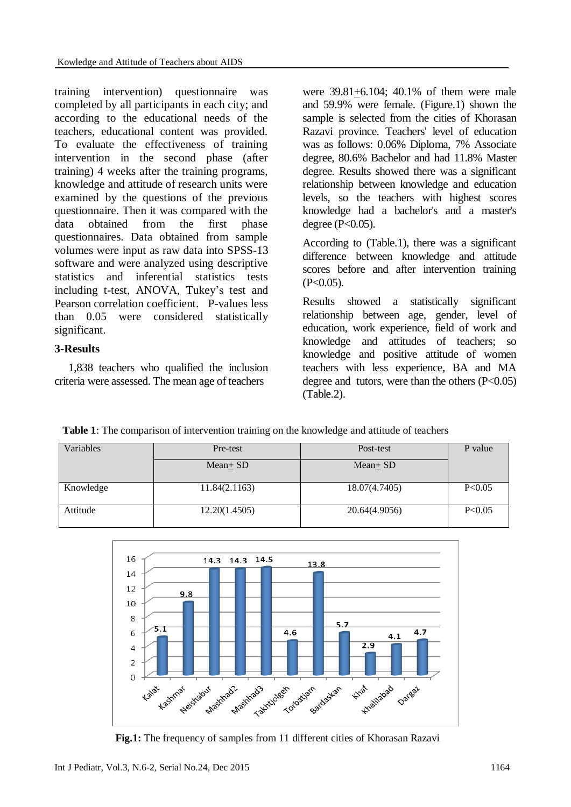training intervention) questionnaire was completed by all participants in each city; and according to the educational needs of the teachers, educational content was provided. To evaluate the effectiveness of training intervention in the second phase (after training) 4 weeks after the training programs, knowledge and attitude of research units were examined by the questions of the previous questionnaire. Then it was compared with the data obtained from the first phase questionnaires. Data obtained from sample volumes were input as raw data into SPSS-13 software and were analyzed using descriptive statistics and inferential statistics tests including t-test, ANOVA, Tukey's test and Pearson correlation coefficient. P-values less than 0.05 were considered statistically significant.

## **3-Results**

1,838 teachers who qualified the inclusion criteria were assessed. The mean age of teachers

were 39.81+6.104; 40.1% of them were male and 59.9% were female. (Figure.1) shown the sample is selected from the cities of Khorasan Razavi province. Teachers' level of education was as follows: 0.06% Diploma, 7% Associate degree, 80.6% Bachelor and had 11.8% Master degree. Results showed there was a significant relationship between knowledge and education levels, so the teachers with highest scores knowledge had a bachelor's and a master's degree (P<0.05).

According to (Table.1), there was a significant difference between knowledge and attitude scores before and after intervention training  $(P<0.05)$ .

Results showed a statistically significant relationship between age, gender, level of education, work experience, field of work and knowledge and attitudes of teachers; so knowledge and positive attitude of women teachers with less experience, BA and MA degree and tutors, were than the others  $(P<0.05)$ (Table.2).

 **Table 1**: The comparison of intervention training on the knowledge and attitude of teachers

| Variables | Pre-test      | Post-test     | P value |
|-----------|---------------|---------------|---------|
|           | Mean+ SD      | $Mean \pm SD$ |         |
| Knowledge | 11.84(2.1163) | 18.07(4.7405) | P<0.05  |
| Attitude  | 12.20(1.4505) | 20.64(4.9056) | P<0.05  |



 **Fig.1:** The frequency of samples from 11 different cities of Khorasan Razavi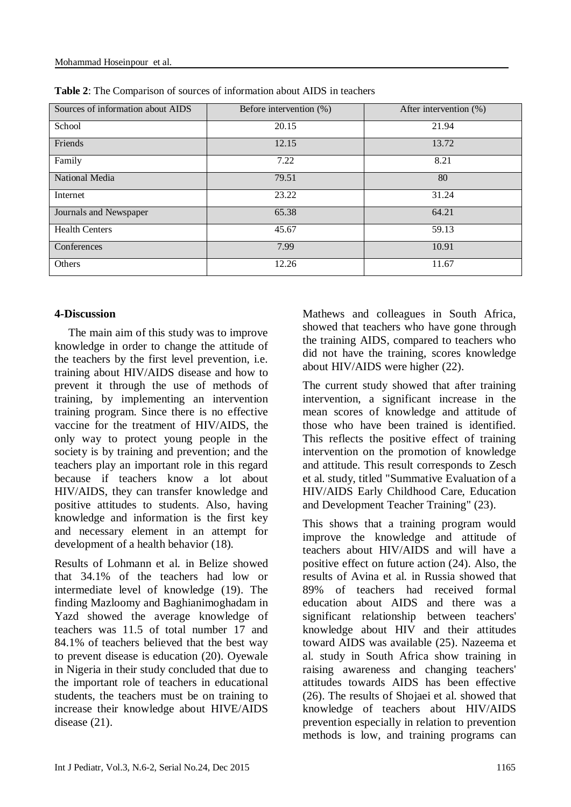| Sources of information about AIDS | Before intervention (%) | After intervention (%) |
|-----------------------------------|-------------------------|------------------------|
| School                            | 20.15                   | 21.94                  |
| Friends                           | 12.15                   | 13.72                  |
| Family                            | 7.22                    | 8.21                   |
| National Media                    | 79.51                   | 80                     |
| Internet                          | 23.22                   | 31.24                  |
| Journals and Newspaper            | 65.38                   | 64.21                  |
| <b>Health Centers</b>             | 45.67                   | 59.13                  |
| Conferences                       | 7.99                    | 10.91                  |
| Others                            | 12.26                   | 11.67                  |

**Table 2**: The Comparison of sources of information about AIDS in teachers

#### **4-Discussion**

The main aim of this study was to improve knowledge in order to change the attitude of the teachers by the first level prevention, i.e. training about HIV/AIDS disease and how to prevent it through the use of methods of training, by implementing an intervention training program. Since there is no effective vaccine for the treatment of HIV/AIDS, the only way to protect young people in the society is by training and prevention; and the teachers play an important role in this regard because if teachers know a lot about HIV/AIDS, they can transfer knowledge and positive attitudes to students. Also, having knowledge and information is the first key and necessary element in an attempt for development of a health behavior (18).

Results of Lohmann et al. in Belize showed that 34.1% of the teachers had low or intermediate level of knowledge (19). The finding Mazloomy and Baghianimoghadam in Yazd showed the average knowledge of teachers was 11.5 of total number 17 and 84.1% of teachers believed that the best way to prevent disease is education (20). Oyewale in Nigeria in their study concluded that due to the important role of teachers in educational students, the teachers must be on training to increase their knowledge about HIVE/AIDS disease (21).

Mathews and colleagues in South Africa, showed that teachers who have gone through the training AIDS, compared to teachers who did not have the training, scores knowledge about HIV/AIDS were higher (22).

The current study showed that after training intervention, a significant increase in the mean scores of knowledge and attitude of those who have been trained is identified. This reflects the positive effect of training intervention on the promotion of knowledge and attitude. This result corresponds to Zesch et al. study, titled "Summative Evaluation of a HIV/AIDS Early Childhood Care, Education and Development Teacher Training" (23).

This shows that a training program would improve the knowledge and attitude of teachers about HIV/AIDS and will have a positive effect on future action (24). Also, the results of Avina et al. in Russia showed that 89% of teachers had received formal education about AIDS and there was a significant relationship between teachers' knowledge about HIV and their attitudes toward AIDS was available (25). Nazeema et al. study in South Africa show training in raising awareness and changing teachers' attitudes towards AIDS has been effective (26). The results of Shojaei et al. showed that knowledge of teachers about HIV/AIDS prevention especially in relation to prevention methods is low, and training programs can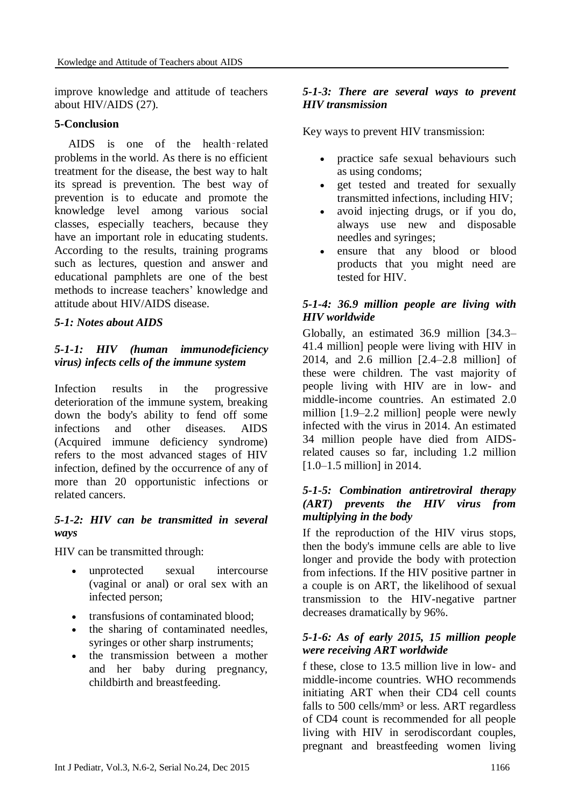improve knowledge and attitude of teachers about HIV/AIDS (27).

## **5-Conclusion**

AIDS is one of the health‑related problems in the world. As there is no efficient treatment for the disease, the best way to halt its spread is prevention. The best way of prevention is to educate and promote the knowledge level among various social classes, especially teachers, because they have an important role in educating students. According to the results, training programs such as lectures, question and answer and educational pamphlets are one of the best methods to increase teachers' knowledge and attitude about HIV/AIDS disease.

## *5-1: Notes about AIDS*

## *5-1-1: HIV (human immunodeficiency virus) infects cells of the immune system*

Infection results in the progressive deterioration of the immune system, breaking down the body's ability to fend off some infections and other diseases. AIDS (Acquired immune deficiency syndrome) refers to the most advanced stages of HIV infection, defined by the occurrence of any of more than 20 opportunistic infections or related cancers.

## *5-1-2: HIV can be transmitted in several ways*

HIV can be transmitted through:

- unprotected sexual intercourse (vaginal or anal) or oral sex with an infected person;
- transfusions of contaminated blood:
- the sharing of contaminated needles, syringes or other sharp instruments;
- the transmission between a mother and her baby during pregnancy, childbirth and breastfeeding.

### *5-1-3: There are several ways to prevent HIV transmission*

Key ways to prevent HIV transmission:

- practice safe sexual behaviours such as using condoms;
- get tested and treated for sexually transmitted infections, including HIV;
- avoid injecting drugs, or if you do, always use new and disposable needles and syringes;
- ensure that any blood or blood products that you might need are tested for HIV.

## *5-1-4: 36.9 million people are living with HIV worldwide*

Globally, an estimated 36.9 million [34.3– 41.4 million] people were living with HIV in 2014, and 2.6 million [2.4–2.8 million] of these were children. The vast majority of people living with HIV are in low- and middle-income countries. An estimated 2.0 million [1.9–2.2 million] people were newly infected with the virus in 2014. An estimated 34 million people have died from AIDSrelated causes so far, including 1.2 million [1.0–1.5 million] in 2014.

## *5-1-5: Combination antiretroviral therapy (ART) prevents the HIV virus from multiplying in the body*

If the reproduction of the HIV virus stops, then the body's immune cells are able to live longer and provide the body with protection from infections. If the HIV positive partner in a couple is on ART, the likelihood of sexual transmission to the HIV-negative partner decreases dramatically by 96%.

## *5-1-6: As of early 2015, 15 million people were receiving ART worldwide*

f these, close to 13.5 million live in low- and middle-income countries. WHO recommends initiating ART when their CD4 cell counts falls to 500 cells/mm<sup>3</sup> or less. ART regardless of CD4 count is recommended for all people living with HIV in serodiscordant couples, pregnant and breastfeeding women living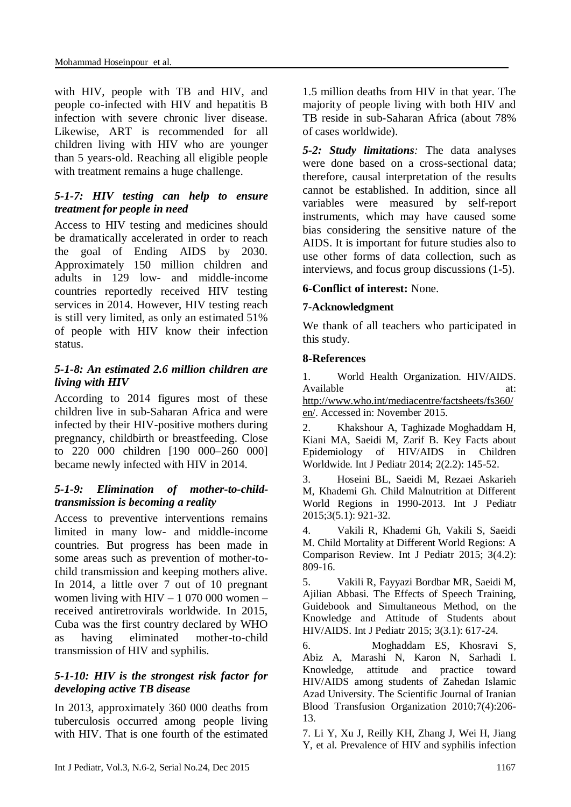with HIV, people with TB and HIV, and people co-infected with HIV and hepatitis B infection with severe chronic liver disease. Likewise, ART is recommended for all children living with HIV who are younger than 5 years-old. Reaching all eligible people with treatment remains a huge challenge.

## *5-1-7: HIV testing can help to ensure treatment for people in need*

Access to HIV testing and medicines should be dramatically accelerated in order to reach the goal of Ending AIDS by 2030. Approximately 150 million children and adults in 129 low- and middle-income countries reportedly received HIV testing services in 2014. However, HIV testing reach is still very limited, as only an estimated 51% of people with HIV know their infection status.

## *5-1-8: An estimated 2.6 million children are living with HIV*

According to 2014 figures most of these children live in sub-Saharan Africa and were infected by their HIV-positive mothers during pregnancy, childbirth or breastfeeding. Close to 220 000 children [190 000–260 000] became newly infected with HIV in 2014.

## *5-1-9: Elimination of mother-to-childtransmission is becoming a reality*

Access to preventive interventions remains limited in many low- and middle-income countries. But progress has been made in some areas such as prevention of mother-tochild transmission and keeping mothers alive. In 2014, a little over 7 out of 10 pregnant women living with HIV – 1 070 000 women – received antiretrovirals worldwide. In 2015, Cuba was the first country declared by WHO as having eliminated mother-to-child transmission of HIV and syphilis.

## *5-1-10: HIV is the strongest risk factor for developing active TB disease*

In 2013, approximately 360 000 deaths from tuberculosis occurred among people living with HIV. That is one fourth of the estimated

1.5 million deaths from HIV in that year. The majority of people living with both HIV and TB reside in sub-Saharan Africa (about 78% of cases worldwide).

*5-2: Study limitations:* The data analyses were done based on a cross-sectional data; therefore, causal interpretation of the results cannot be established. In addition, since all variables were measured by self-report instruments, which may have caused some bias considering the sensitive nature of the AIDS. It is important for future studies also to use other forms of data collection, such as interviews, and focus group discussions (1-5).

## **6-Conflict of interest:** None.

## **7-Acknowledgment**

We thank of all teachers who participated in this study.

## **8-References**

1. World Health Organization. HIV/AIDS. Available at: at:

[http://www.who.int/mediacentre/factsheets/fs360/](http://www.who.int/mediacentre/factsheets/fs360/en/) [en/.](http://www.who.int/mediacentre/factsheets/fs360/en/) Accessed in: November 2015.

2. Khakshour A, Taghizade Moghaddam H, Kiani MA, Saeidi M, Zarif B. Key Facts about Epidemiology of HIV/AIDS in Children Worldwide. Int J Pediatr 2014; 2(2.2): 145-52.

3. Hoseini BL, Saeidi M, Rezaei Askarieh M, Khademi Gh. Child Malnutrition at Different World Regions in 1990-2013. Int J Pediatr 2015;3(5.1): 921-32.

4. Vakili R, Khademi Gh, Vakili S, Saeidi M. Child Mortality at Different World Regions: A Comparison Review. Int J Pediatr 2015; 3(4.2): 809-16.

5. Vakili R, Fayyazi Bordbar MR, Saeidi M, Ajilian Abbasi. The Effects of Speech Training, Guidebook and Simultaneous Method, on the Knowledge and Attitude of Students about HIV/AIDS. Int J Pediatr 2015; 3(3.1): 617-24.

6. Moghaddam ES, Khosravi S, Abiz A, Marashi N, Karon N, Sarhadi I. Knowledge, attitude and practice toward HIV/AIDS among students of Zahedan Islamic Azad University. The Scientific Journal of Iranian Blood Transfusion Organization 2010;7(4):206- 13.

7. Li Y, Xu J, Reilly KH, Zhang J, Wei H, Jiang Y, et al. Prevalence of HIV and syphilis infection